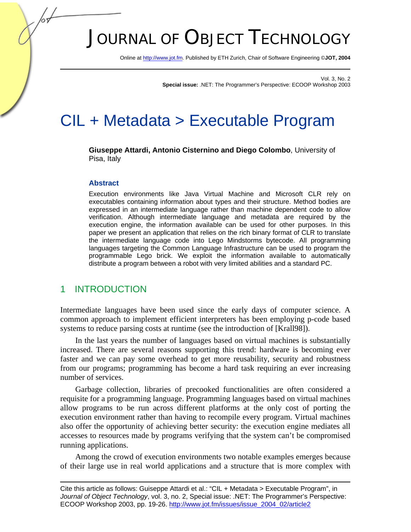# JOURNAL OF OBJECT TECHNOLOGY

Online [at http://www.jot.fm. P](http://www.jot.fm)ublished by ETH Zurich, Chair of Software Engineering ©**JOT, 2004** 

Vol. 3, No. 2 **Special issue:** .NET: The Programmer's Perspective: ECOOP Workshop 2003

## CIL + Metadata > Executable Program

**Giuseppe Attardi, Antonio Cisternino and Diego Colombo**, University of Pisa, Italy

#### **Abstract**

Execution environments like Java Virtual Machine and Microsoft CLR rely on executables containing information about types and their structure. Method bodies are expressed in an intermediate language rather than machine dependent code to allow verification. Although intermediate language and metadata are required by the execution engine, the information available can be used for other purposes. In this paper we present an application that relies on the rich binary format of CLR to translate the intermediate language code into Lego Mindstorms bytecode. All programming languages targeting the Common Language Infrastructure can be used to program the programmable Lego brick. We exploit the information available to automatically distribute a program between a robot with very limited abilities and a standard PC.

#### 1 INTRODUCTION

Intermediate languages have been used since the early days of computer science. A common approach to implement efficient interpreters has been employing p-code based systems to reduce parsing costs at runtime (see the introduction of [Krall98]).

In the last years the number of languages based on virtual machines is substantially increased. There are several reasons supporting this trend: hardware is becoming ever faster and we can pay some overhead to get more reusability, security and robustness from our programs; programming has become a hard task requiring an ever increasing number of services.

Garbage collection, libraries of precooked functionalities are often considered a requisite for a programming language. Programming languages based on virtual machines allow programs to be run across different platforms at the only cost of porting the execution environment rather than having to recompile every program. Virtual machines also offer the opportunity of achieving better security: the execution engine mediates all accesses to resources made by programs verifying that the system can't be compromised running applications.

Among the crowd of execution environments two notable examples emerges because of their large use in real world applications and a structure that is more complex with

Cite this article as follows: Guiseppe Attardi et al.: "CIL + Metadata > Executable Program", in *Journal of Object Technology*, vol. 3, no. 2, Special issue: .NET: The Programmer's Perspective: ECOOP Workshop 2003, pp. 19-2[6. http://www.jot.fm/issues/issue\\_2004\\_02/article2](http://www.jot.fm/issues/issue_2004_02/article2)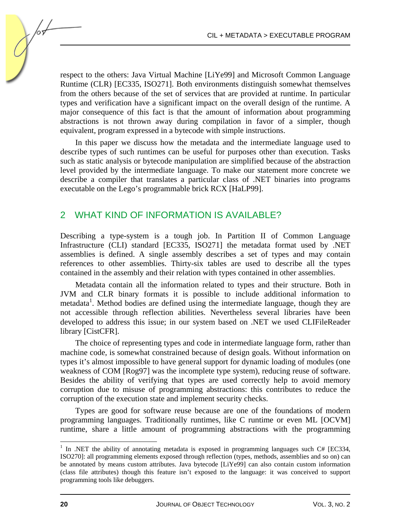respect to the others: Java Virtual Machine [LiYe99] and Microsoft Common Language Runtime (CLR) [EC335, ISO271]. Both environments distinguish somewhat themselves from the others because of the set of services that are provided at runtime. In particular types and verification have a significant impact on the overall design of the runtime. A major consequence of this fact is that the amount of information about programming abstractions is not thrown away during compilation in favor of a simpler, though equivalent, program expressed in a bytecode with simple instructions.

In this paper we discuss how the metadata and the intermediate language used to describe types of such runtimes can be useful for purposes other than execution. Tasks such as static analysis or bytecode manipulation are simplified because of the abstraction level provided by the intermediate language. To make our statement more concrete we describe a compiler that translates a particular class of .NET binaries into programs executable on the Lego's programmable brick RCX [HaLP99].

### 2 WHAT KIND OF INFORMATION IS AVAILABLE?

Describing a type-system is a tough job. In Partition II of Common Language Infrastructure (CLI) standard [EC335, ISO271] the metadata format used by .NET assemblies is defined. A single assembly describes a set of types and may contain references to other assemblies. Thirty-six tables are used to describe all the types contained in the assembly and their relation with types contained in other assemblies.

Metadata contain all the information related to types and their structure. Both in JVM and CLR binary formats it is possible to include additional information to metadata<sup>1</sup>. Method bodies are defined using the intermediate language, though they are not accessible through reflection abilities. Nevertheless several libraries have been developed to address this issue; in our system based on .NET we used CLIFileReader library [CistCFR].

The choice of representing types and code in intermediate language form, rather than machine code, is somewhat constrained because of design goals. Without information on types it's almost impossible to have general support for dynamic loading of modules (one weakness of COM [Rog97] was the incomplete type system), reducing reuse of software. Besides the ability of verifying that types are used correctly help to avoid memory corruption due to misuse of programming abstractions: this contributes to reduce the corruption of the execution state and implement security checks.

Types are good for software reuse because are one of the foundations of modern programming languages. Traditionally runtimes, like C runtime or even ML [OCVM] runtime, share a little amount of programming abstractions with the programming

l

<sup>&</sup>lt;sup>1</sup> In .NET the ability of annotating metadata is exposed in programming languages such C# [EC334, ISO270]: all programming elements exposed through reflection (types, methods, assemblies and so on) can be annotated by means custom attributes. Java bytecode [LiYe99] can also contain custom information (class file attributes) though this feature isn't exposed to the language: it was conceived to support programming tools like debuggers.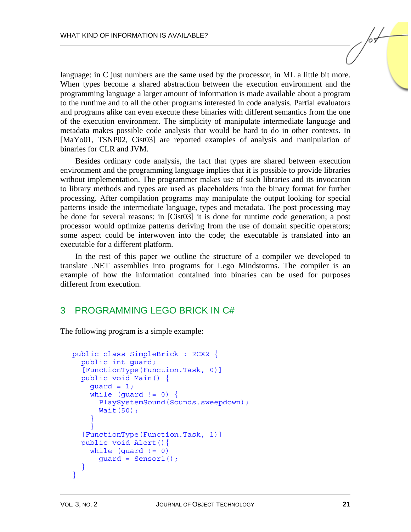language: in C just numbers are the same used by the processor, in ML a little bit more. When types become a shared abstraction between the execution environment and the programming language a larger amount of information is made available about a program to the runtime and to all the other programs interested in code analysis. Partial evaluators and programs alike can even execute these binaries with different semantics from the one of the execution environment. The simplicity of manipulate intermediate language and metadata makes possible code analysis that would be hard to do in other contexts. In [MaYo01, TSNP02, Cist03] are reported examples of analysis and manipulation of binaries for CLR and JVM.

Besides ordinary code analysis, the fact that types are shared between execution environment and the programming language implies that it is possible to provide libraries without implementation. The programmer makes use of such libraries and its invocation to library methods and types are used as placeholders into the binary format for further processing. After compilation programs may manipulate the output looking for special patterns inside the intermediate language, types and metadata. The post processing may be done for several reasons: in [Cist03] it is done for runtime code generation; a post processor would optimize patterns deriving from the use of domain specific operators; some aspect could be interwoven into the code; the executable is translated into an executable for a different platform.

In the rest of this paper we outline the structure of a compiler we developed to translate .NET assemblies into programs for Lego Mindstorms. The compiler is an example of how the information contained into binaries can be used for purposes different from execution.

#### 3 PROGRAMMING LEGO BRICK IN C#

The following program is a simple example:

```
public class SimpleBrick : RCX2 { 
   public int guard; 
   [FunctionType(Function.Task, 0)] 
   public void Main() { 
    quard = 1;while (guard != 0) {
       PlaySystemSound(Sounds.sweepdown); 
       Wait(50); 
 } 
 } 
   [FunctionType(Function.Task, 1)] 
   public void Alert(){ 
    while (guard != 0) guard = Sensor1(); 
 } 
}
```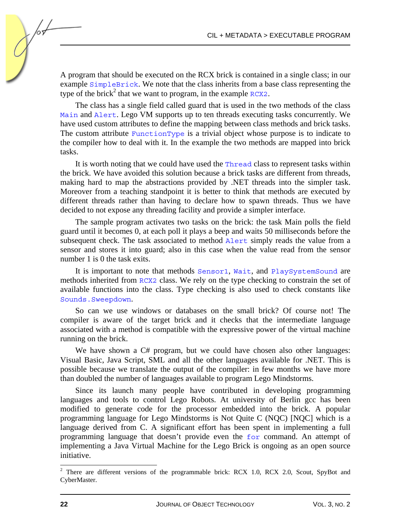A program that should be executed on the RCX brick is contained in a single class; in our example SimpleBrick. We note that the class inherits from a base class representing the type of the brick<sup>2</sup> that we want to program, in the example  $R$ CX2.

The class has a single field called guard that is used in the two methods of the class Main and Alert. Lego VM supports up to ten threads executing tasks concurrently. We have used custom attributes to define the mapping between class methods and brick tasks. The custom attribute FunctionType is a trivial object whose purpose is to indicate to the compiler how to deal with it. In the example the two methods are mapped into brick tasks.

It is worth noting that we could have used the Thread class to represent tasks within the brick. We have avoided this solution because a brick tasks are different from threads, making hard to map the abstractions provided by .NET threads into the simpler task. Moreover from a teaching standpoint it is better to think that methods are executed by different threads rather than having to declare how to spawn threads. Thus we have decided to not expose any threading facility and provide a simpler interface.

The sample program activates two tasks on the brick: the task Main polls the field guard until it becomes 0, at each poll it plays a beep and waits 50 milliseconds before the subsequent check. The task associated to method Alert simply reads the value from a sensor and stores it into guard; also in this case when the value read from the sensor number 1 is 0 the task exits.

It is important to note that methods Sensor1, Wait, and PlaySystemSound are methods inherited from RCX2 class. We rely on the type checking to constrain the set of available functions into the class. Type checking is also used to check constants like Sounds.Sweepdown.

So can we use windows or databases on the small brick? Of course not! The compiler is aware of the target brick and it checks that the intermediate language associated with a method is compatible with the expressive power of the virtual machine running on the brick.

We have shown a C# program, but we could have chosen also other languages: Visual Basic, Java Script, SML and all the other languages available for .NET. This is possible because we translate the output of the compiler: in few months we have more than doubled the number of languages available to program Lego Mindstorms.

Since its launch many people have contributed in developing programming languages and tools to control Lego Robots. At university of Berlin gcc has been modified to generate code for the processor embedded into the brick. A popular programming language for Lego Mindstorms is Not Quite C (NQC) [NQC] which is a language derived from C. A significant effort has been spent in implementing a full programming language that doesn't provide even the for command. An attempt of implementing a Java Virtual Machine for the Lego Brick is ongoing as an open source initiative.

<sup>&</sup>lt;sup>2</sup> There are different versions of the programmable brick: RCX 1.0, RCX 2.0, Scout, SpyBot and CyberMaster.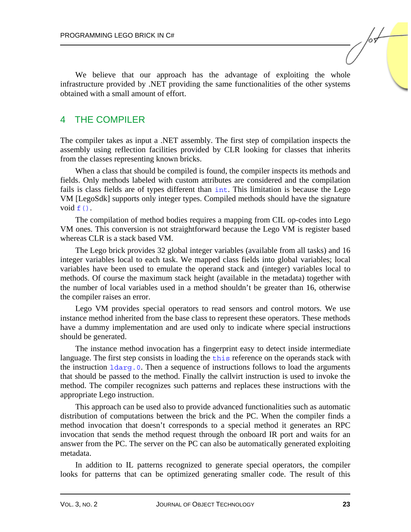We believe that our approach has the advantage of exploiting the whole infrastructure provided by .NET providing the same functionalities of the other systems obtained with a small amount of effort.

### 4 THE COMPILER

The compiler takes as input a .NET assembly. The first step of compilation inspects the assembly using reflection facilities provided by CLR looking for classes that inherits from the classes representing known bricks.

When a class that should be compiled is found, the compiler inspects its methods and fields. Only methods labeled with custom attributes are considered and the compilation fails is class fields are of types different than int. This limitation is because the Lego VM [LegoSdk] supports only integer types. Compiled methods should have the signature void  $f()$ .

The compilation of method bodies requires a mapping from CIL op-codes into Lego VM ones. This conversion is not straightforward because the Lego VM is register based whereas CLR is a stack based VM.

The Lego brick provides 32 global integer variables (available from all tasks) and 16 integer variables local to each task. We mapped class fields into global variables; local variables have been used to emulate the operand stack and (integer) variables local to methods. Of course the maximum stack height (available in the metadata) together with the number of local variables used in a method shouldn't be greater than 16, otherwise the compiler raises an error.

Lego VM provides special operators to read sensors and control motors. We use instance method inherited from the base class to represent these operators. These methods have a dummy implementation and are used only to indicate where special instructions should be generated.

The instance method invocation has a fingerprint easy to detect inside intermediate language. The first step consists in loading the this reference on the operands stack with the instruction  $\frac{1}{\text{darg}}$ . O. Then a sequence of instructions follows to load the arguments that should be passed to the method. Finally the callvirt instruction is used to invoke the method. The compiler recognizes such patterns and replaces these instructions with the appropriate Lego instruction.

This approach can be used also to provide advanced functionalities such as automatic distribution of computations between the brick and the PC. When the compiler finds a method invocation that doesn't corresponds to a special method it generates an RPC invocation that sends the method request through the onboard IR port and waits for an answer from the PC. The server on the PC can also be automatically generated exploiting metadata.

In addition to IL patterns recognized to generate special operators, the compiler looks for patterns that can be optimized generating smaller code. The result of this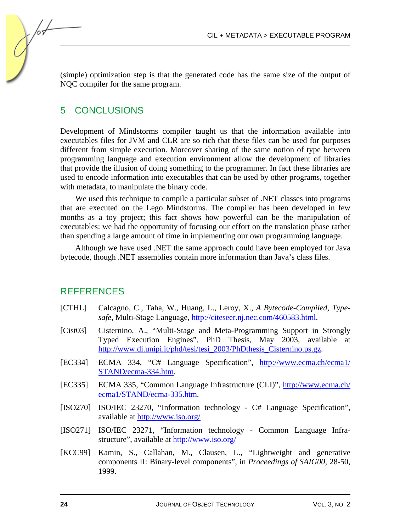(simple) optimization step is that the generated code has the same size of the output of NQC compiler for the same program.

## 5 CONCLUSIONS

/or

Development of Mindstorms compiler taught us that the information available into executables files for JVM and CLR are so rich that these files can be used for purposes different from simple execution. Moreover sharing of the same notion of type between programming language and execution environment allow the development of libraries that provide the illusion of doing something to the programmer. In fact these libraries are used to encode information into executables that can be used by other programs, together with metadata, to manipulate the binary code.

We used this technique to compile a particular subset of .NET classes into programs that are executed on the Lego Mindstorms. The compiler has been developed in few months as a toy project; this fact shows how powerful can be the manipulation of executables: we had the opportunity of focusing our effort on the translation phase rather than spending a large amount of time in implementing our own programming language.

Although we have used .NET the same approach could have been employed for Java bytecode, though .NET assemblies contain more information than Java's class files.

## REFERENCES

- [CTHL] Calcagno, C., Taha, W., Huang, L., Leroy, X., *A Bytecode-Compiled, Typesafe*, Multi-Stage Languag[e, http://citeseer.nj.nec.com/460583.html.](http://citeseer.nj.nec.com/460583.html)
- [Cist03] Cisternino, A., "Multi-Stage and Meta-Programming Support in Strongly Typed Execution Engines", PhD Thesis, May 2003, available at [http://www.di.unipi.it/phd/tesi/tesi\\_2003/PhDthesis\\_Cisternino.ps.gz.](http://www.di.unipi.it/phd/tesi/tesi_2003/PhDthesis_Cisternino.ps.gz)
- [EC334] ECMA 334, "C# Language Specification", [http://www.ecma.ch/ecma1/](http://www.ecma.ch/ecma1/STAND/ecma-334.htm) [STAND/ecma-334.htm.](http://www.ecma.ch/ecma1/STAND/ecma-334.htm)
- [EC335] ECMA 335, "Common Language Infrastructure (CLI)"[, http://www.ecma.ch/](http://www.ecma.ch/ecma1/STAND/ecma-335.htm) [ecma1/STAND/ecma-335.htm.](http://www.ecma.ch/ecma1/STAND/ecma-335.htm)
- [ISO270] ISO/IEC 23270, "Information technology C# Language Specification", available at<http://www.iso.org/>
- [ISO271] ISO/IEC 23271, "Information technology Common Language Infrastructure", available a[t http://www.iso.org/](http://www.iso.org/)
- [KCC99] Kamin, S., Callahan, M., Clausen, L., "Lightweight and generative components II: Binary-level components", in *Proceedings of SAIG00*, 28-50, 1999.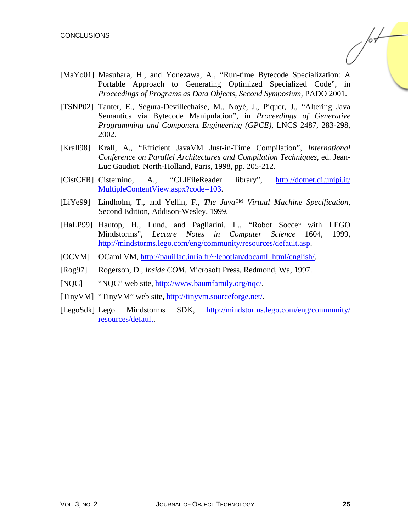- [MaYo01] Masuhara, H., and Yonezawa, A., "Run-time Bytecode Specialization: A Portable Approach to Generating Optimized Specialized Code", in *Proceedings of Programs as Data Objects, Second Symposium,* PADO 2001.
- [TSNP02] Tanter, E., Ségura-Devillechaise, M., Noyé, J., Piquer, J., "Altering Java Semantics via Bytecode Manipulation", in *Proceedings of Generative Programming and Component Engineering (GPCE)*, LNCS 2487, 283-298, 2002.
- [Krall98] Krall, A., "Efficient JavaVM Just-in-Time Compilation", *International Conference on Parallel Architectures and Compilation Techniques*, ed. Jean-Luc Gaudiot, North-Holland, Paris, 1998, pp. 205-212.
- [CistCFR] Cisternino, A., "CLIFileReader library", [http://dotnet.di.unipi.it/](http://dotnet.di.unipi.it/MultipleContentView.aspx?code=103) [MultipleContentView.aspx?code=103.](http://dotnet.di.unipi.it/MultipleContentView.aspx?code=103)
- [LiYe99] Lindholm, T., and Yellin, F., *The Java™ Virtual Machine Specification*, Second Edition, Addison-Wesley, 1999.
- [HaLP99] Hautop, H., Lund, and Pagliarini, L., "Robot Soccer with LEGO Mindstorms", *Lecture Notes in Computer Science* 1604, 1999, [http://mindstorms.lego.com/eng/community/resources/default.asp.](http://mindstorms.lego.com/eng/community/resources/default.asp)
- [OCVM] OCaml VM[, http://pauillac.inria.fr/~lebotlan/docaml\\_html/english/.](http://pauillac.inria.fr/~lebotlan/docaml_html/english/)
- [Rog97] Rogerson, D., *Inside COM*, Microsoft Press, Redmond, Wa, 1997.
- [NQC] "NQC" web sit[e, http://www.baumfamily.org/nqc/.](http://www.baumfamily.org/nqc/)
- [TinyVM] "TinyVM" web site, [http://tinyvm.sourceforge.net/.](http://tinyvm.sourceforge.net/)
- [LegoSdk] Lego Mindstorms SDK, [http://mindstorms.lego.com/eng/community/](http://mindstorms.lego.com/eng/community/resources/default) [resources/default.](http://mindstorms.lego.com/eng/community/resources/default)

 $\sqrt{\frac{1}{2}}$